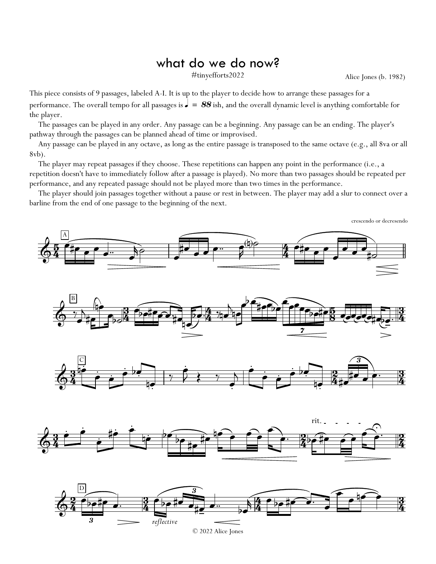## what do we do now?

Alice Jones (b. 1982)

This piece consists of 9 passages, labeled A-I. It is up to the player to decide how to arrange these passages for a performance. The overall tempo for all passages is  $\sigma = 88$  ish, and the overall dynamic level is anything comfortable for the player.

The passages can be played in any order. Any passage can be a beginning. Any passage can be an ending. The player's pathway through the passages can be planned ahead of time or improvised.

Any passage can be played in any octave, as long as the entire passage is transposed to the same octave (e.g., all 8va or all 8vb).

The player may repeat passages if they choose. These repetitions can happen any point in the performance (i.e., a repetition doesn't have to immediately follow after a passage is played). No more than two passages should be repeated per performance, and any repeated passage should not be played more than two times in the performance.

The player should join passages together without a pause or rest in between. The player may add a slur to connect over a barline from the end of one passage to the beginning of the next.

crescendo or decresendo